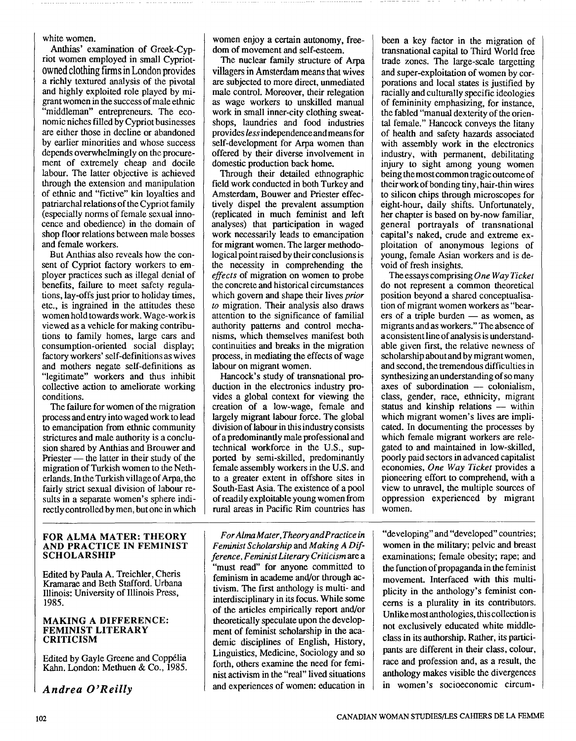white women.

Anthias' examination of Greek-Cypriot women employed in small Cypriotowned clothing firms in London provides a richly textured analysis of the pivotal and highly exploited role played by migrant women in the success of male ethnic "middleman" entrepreneurs. The economic niches filled by Cypriot businesses are either those in decline or abandoned by earlier minorities and whose success depends overwhelmingly on the procurement of extremely cheap and docile labour. The latter objective is achieved through the extension and manipulation of ethnic and "fictive" kin loyalties and patriarchal relations of the Cypriot family (especially norms of female sexual innocence and obedience) in the domain of shop floor relations between male bosses and female workers.

But Anthias also reveals how the consent of Cypriot factory workers to employer practices such as illegal denial of benefits, failure to meet safety regulations, lay-offs just prior to holiday times, etc., is ingrained in the attitudes these women hold towards work. Wage-workis viewed as a vehicle for making contributions to family homes, large cars and consumption-oriented social display; factory workers' self-definitions as wives and mothers negate self-definitions as "legitimate" workers and thus inhibit collective action to ameliorate working conditions.

The failure for women of the migration process and entry into waged work to lead to emancipation from ethnic community strictures and male authority is a conclusion shared by Anthias and Brouwer and strictures and male authority is a conclu-<br>sion shared by Anthias and Brouwer and<br>Priester — the latter in their study of the<br>migration of Turkich women to the Nethmigration of Turkish women to the Netherlands. In the Turkish village of Arpa, the fairly strict sexual division of labour results in a separate women's sphere indirectly controlled by men, but one in which

## **FOR ALMA MATER: THEORY AND PRACTICE IN FEMINIST SCHOLARSHIP**

Edited by Paula A. Treichler, Cheris Kramarae and Beth Stafford. Urbana Illinois: University of Illinois Press, 1985.

## **MAKING A DIFFERENCE: FEMINIST LITERARY CRITICISM**

Edited by Gayle Greene and Copp6lia Kahn. London: Methuen & Co., 1985.

I *Andrea O'Reilly* 

women enjoy a certain autonomy, freedom of movement and self-esteem.

The nuclear family structure of Arpa villagers in Amsterdam means that wives are subjected to more direct, unmediated male control. Moreover, their relegation as wage workers to unskilled manual work in small inner-city clothing sweatshops, laundries and food industries provides lessindependence andmeans for self-development for Arpa women than offered by their diverse involvement in domestic production back home.

Through their detailed ethnographic field work conducted in both Turkey and Amsterdam, Bouwer and Priester effectively dispel the prevalent assumption (replicated in much feminist and left analyses) that participation in waged work necessarily leads to emancipation for migrant women. The larger methodological point raised by their conclusions is the necessity in comprehending the effects of migration on women to probe the concrete and historical circumstances which govern and shape their lives *prior* to migration. Their analysis also draws attention to the significance of familial authority patterns and control mechanisms, which themselves manifest both continuities and breaks in the migration process, in mediating the effects of wage labour on migrant women.

Hancock's study of transnational production in the electronics industry provides a global context for viewing the creation of a low-wage, female and largely migrant labour force. The global division of labour in this industry consists of a predominantly male professional and technical workforce in the U.S., supported by semi-skilled, predominantly female assembly workers in the U.S. and to a greater extent in offshore sites in South-East Asia. The existence of a pool of readily exploitable young women from rural areas in Pacific Rim countries has

For Alma Mater, Theory and Practice in Feminist Scholarship and Making A Difference, Feminist Literary Criticism are a "must read" for anyone committed to feminism in academe and/or through activism. The first anthology is multi- and interdisciplinary in its focus. While some of the articles empirically report and/or theoretically speculate upon the development of feminist scholarship in the academic disciplines of English, History, Linguistics, Medicine, Sociology and so forth, others examine the need for feminist activism in the "real" lived situations and experiences of women: education in  $\parallel$  in women's socioeconomic circum-

been a key factor in the migration of transnational capital to Third World free trade zones. The large-scale targetting and super-exploitation of women by corporations and local states is justified by racially and culturally specific ideologies of femininity emphasizing, for instance, the fabled "manual dexterity of the oriental female." Hancock conveys the litany of health and safety hazards associated with assembly work in the electronics industry, with permanent, debilitating injury to sight among young women being themost common tragic outcome of their work of bonding tiny, hair-thin wires to silicon chips through microscopes for eight-hour, daily shifts. Unfortunately, her chapter is based on by-now familiar, general portrayals of transnational capital's naked, crude and extreme exploitation of anonymous legions of young, female Asian workers and is devoid of fresh insights.

The essays comprising One Way Ticket do not represent a common theoretical position beyond a shared conceptualisa-<br>tion of migrant women workers as "bear-<br>ers of a triple burden — as women, as<br>migrants and as workers." The shapes of tion of migrant women workers as "bear-<br>ers of a triple burden — as women, as migrants and as workers." The absence of a consistent line of analysis is understandable given first, the relative newness of scholarship about and by migrant women, and second, the tremendous difficulties in synthesizing an understanding of so many and second, the tremendous difficulties in<br>synthesizing an understanding of so many<br>axes of subordination -- colonialism,<br>along attributive migrant class, gender, race, ethnicity, migrant axes of subordination - colonialism,<br>class, gender, race, ethnicity, migrant<br>status and kinship relations - within<br>which migrant women's lives are impliwhich migrant women's lives are implicated. In documenting the processes by which female migrant workers are relegated to and maintained in low-skilled, poorly paid sectors in advanced capitalist economies, One Way Ticket provides a pioneering effort to comprehend, with a view to unravel, the multiple sources of oppression experienced by migrant women.

"developing" and "developed" countries; women in the military; pelvic and breast examinations; female obesity; rape; and the function of propaganda in the feminist movement. Interfaced with this multiplicity in the anthology's feminist concerns is a plurality in its contributors. Unlike most anthologies, this collection is not exclusively educated white middleclass in its authorship. Rather, its participants are different in their class, colour, race and profession and, as a result, the anthology makes visible the divergences